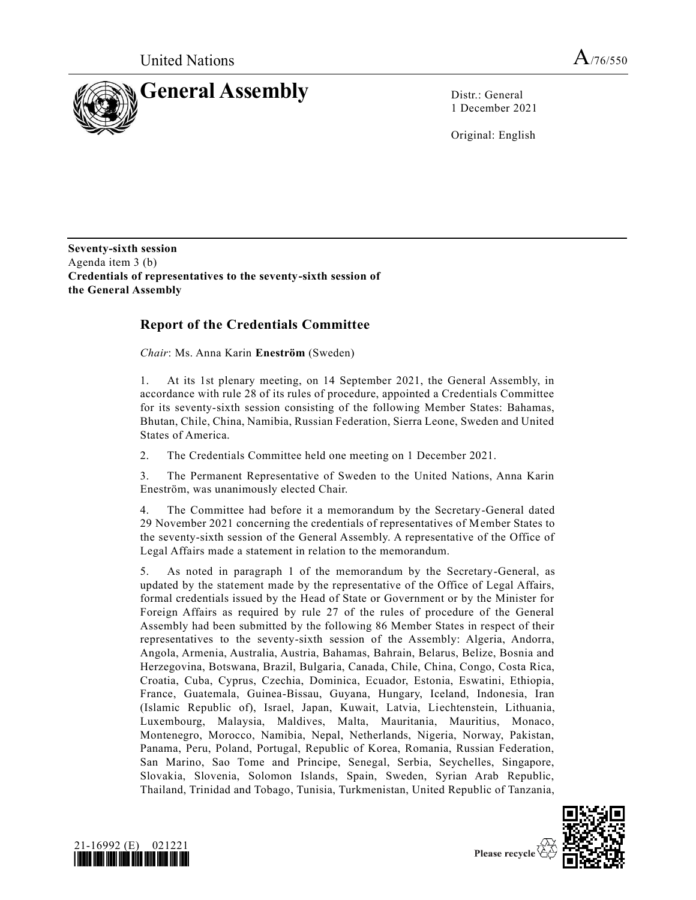

1 December 2021

Original: English

**Seventy-sixth session** Agenda item 3 (b) **Credentials of representatives to the seventy-sixth session of the General Assembly**

# **Report of the Credentials Committee**

*Chair*: Ms. Anna Karin **Eneström** (Sweden)

1. At its 1st plenary meeting, on 14 September 2021, the General Assembly, in accordance with rule 28 of its rules of procedure, appointed a Credentials Committee for its seventy-sixth session consisting of the following Member States: Bahamas, Bhutan, Chile, China, Namibia, Russian Federation, Sierra Leone, Sweden and United States of America.

2. The Credentials Committee held one meeting on 1 December 2021.

3. The Permanent Representative of Sweden to the United Nations, Anna Karin Eneström, was unanimously elected Chair.

4. The Committee had before it a memorandum by the Secretary-General dated 29 November 2021 concerning the credentials of representatives of Member States to the seventy-sixth session of the General Assembly. A representative of the Office of Legal Affairs made a statement in relation to the memorandum.

5. As noted in paragraph 1 of the memorandum by the Secretary-General, as updated by the statement made by the representative of the Office of Legal Affairs, formal credentials issued by the Head of State or Government or by the Minister for Foreign Affairs as required by rule 27 of the rules of procedure of the General Assembly had been submitted by the following 86 Member States in respect of their representatives to the seventy-sixth session of the Assembly: Algeria, Andorra, Angola, Armenia, Australia, Austria, Bahamas, Bahrain, Belarus, Belize, Bosnia and Herzegovina, Botswana, Brazil, Bulgaria, Canada, Chile, China, Congo, Costa Rica, Croatia, Cuba, Cyprus, Czechia, Dominica, Ecuador, Estonia, Eswatini, Ethiopia, France, Guatemala, Guinea-Bissau, Guyana, Hungary, Iceland, Indonesia, Iran (Islamic Republic of), Israel, Japan, Kuwait, Latvia, Liechtenstein, Lithuania, Luxembourg, Malaysia, Maldives, Malta, Mauritania, Mauritius, Monaco, Montenegro, Morocco, Namibia, Nepal, Netherlands, Nigeria, Norway, Pakistan, Panama, Peru, Poland, Portugal, Republic of Korea, Romania, Russian Federation, San Marino, Sao Tome and Principe, Senegal, Serbia, Seychelles, Singapore, Slovakia, Slovenia, Solomon Islands, Spain, Sweden, Syrian Arab Republic, Thailand, Trinidad and Tobago, Tunisia, Turkmenistan, United Republic of Tanzania,



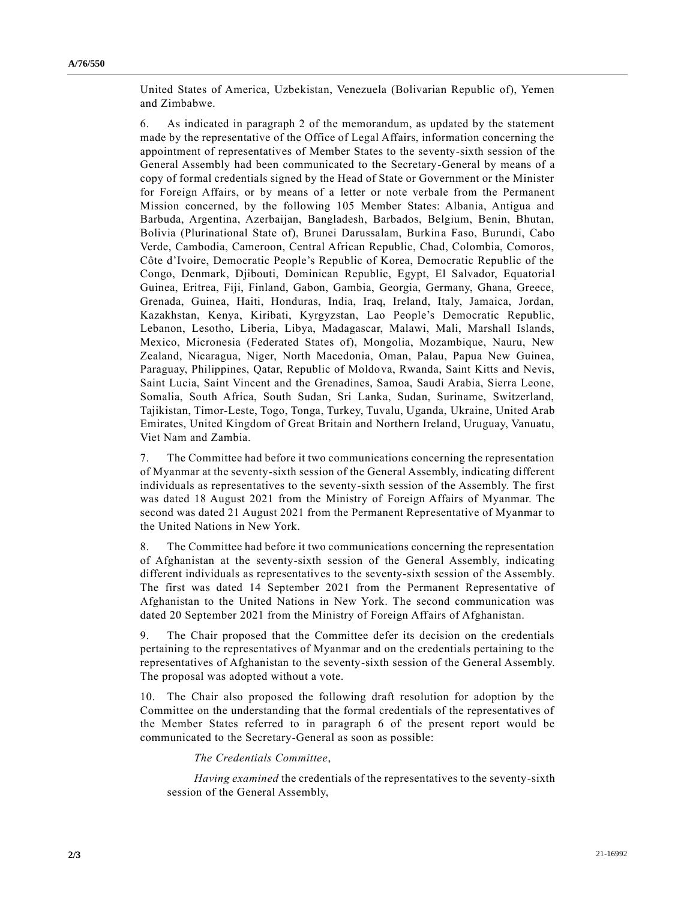United States of America, Uzbekistan, Venezuela (Bolivarian Republic of), Yemen and Zimbabwe.

6. As indicated in paragraph 2 of the memorandum, as updated by the statement made by the representative of the Office of Legal Affairs, information concerning the appointment of representatives of Member States to the seventy-sixth session of the General Assembly had been communicated to the Secretary-General by means of a copy of formal credentials signed by the Head of State or Government or the Minister for Foreign Affairs, or by means of a letter or note verbale from the Permanent Mission concerned, by the following 105 Member States: Albania, Antigua and Barbuda, Argentina, Azerbaijan, Bangladesh, Barbados, Belgium, Benin, Bhutan, Bolivia (Plurinational State of), Brunei Darussalam, Burkina Faso, Burundi, Cabo Verde, Cambodia, Cameroon, Central African Republic, Chad, Colombia, Comoros, Côte d'Ivoire, Democratic People's Republic of Korea, Democratic Republic of the Congo, Denmark, Djibouti, Dominican Republic, Egypt, El Salvador, Equatoria l Guinea, Eritrea, Fiji, Finland, Gabon, Gambia, Georgia, Germany, Ghana, Greece, Grenada, Guinea, Haiti, Honduras, India, Iraq, Ireland, Italy, Jamaica, Jordan, Kazakhstan, Kenya, Kiribati, Kyrgyzstan, Lao People's Democratic Republic, Lebanon, Lesotho, Liberia, Libya, Madagascar, Malawi, Mali, Marshall Islands, Mexico, Micronesia (Federated States of), Mongolia, Mozambique, Nauru, New Zealand, Nicaragua, Niger, North Macedonia, Oman, Palau, Papua New Guinea, Paraguay, Philippines, Qatar, Republic of Moldova, Rwanda, Saint Kitts and Nevis, Saint Lucia, Saint Vincent and the Grenadines, Samoa, Saudi Arabia, Sierra Leone, Somalia, South Africa, South Sudan, Sri Lanka, Sudan, Suriname, Switzerland, Tajikistan, Timor-Leste, Togo, Tonga, Turkey, Tuvalu, Uganda, Ukraine, United Arab Emirates, United Kingdom of Great Britain and Northern Ireland, Uruguay, Vanuatu, Viet Nam and Zambia.

7. The Committee had before it two communications concerning the representation of Myanmar at the seventy-sixth session of the General Assembly, indicating different individuals as representatives to the seventy-sixth session of the Assembly. The first was dated 18 August 2021 from the Ministry of Foreign Affairs of Myanmar. The second was dated 21 August 2021 from the Permanent Representative of Myanmar to the United Nations in New York.

8. The Committee had before it two communications concerning the representation of Afghanistan at the seventy-sixth session of the General Assembly, indicating different individuals as representatives to the seventy-sixth session of the Assembly. The first was dated 14 September 2021 from the Permanent Representative of Afghanistan to the United Nations in New York. The second communication was dated 20 September 2021 from the Ministry of Foreign Affairs of Afghanistan.

9. The Chair proposed that the Committee defer its decision on the credentials pertaining to the representatives of Myanmar and on the credentials pertaining to the representatives of Afghanistan to the seventy-sixth session of the General Assembly. The proposal was adopted without a vote.

10. The Chair also proposed the following draft resolution for adoption by the Committee on the understanding that the formal credentials of the representatives of the Member States referred to in paragraph 6 of the present report would be communicated to the Secretary-General as soon as possible:

#### *The Credentials Committee*,

*Having examined* the credentials of the representatives to the seventy-sixth session of the General Assembly,